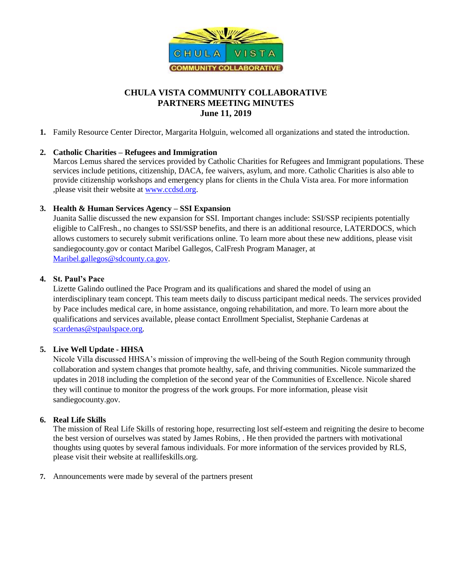

# **CHULA VISTA COMMUNITY COLLABORATIVE PARTNERS MEETING MINUTES June 11, 2019**

**1.** Family Resource Center Director, Margarita Holguin, welcomed all organizations and stated the introduction.

## **2. Catholic Charities – Refugees and Immigration**

Marcos Lemus shared the services provided by Catholic Charities for Refugees and Immigrant populations. These services include petitions, citizenship, DACA, fee waivers, asylum, and more. Catholic Charities is also able to provide citizenship workshops and emergency plans for clients in the Chula Vista area. For more information ,please visit their website at [www.ccdsd.org.](http://www.ccdsd.org/)

## **3. Health & Human Services Agency – SSI Expansion**

Juanita Sallie discussed the new expansion for SSI. Important changes include: SSI/SSP recipients potentially eligible to CalFresh., no changes to SSI/SSP benefits, and there is an additional resource, LATERDOCS, which allows customers to securely submit verifications online. To learn more about these new additions, please visit sandiegocounty.gov or contact Maribel Gallegos, CalFresh Program Manager, at [Maribel.gallegos@sdcounty.ca.gov.](mailto:Maribel.gallegos@sdcounty.ca.gov)

## **4. St. Paul's Pace**

Lizette Galindo outlined the Pace Program and its qualifications and shared the model of using an interdisciplinary team concept. This team meets daily to discuss participant medical needs. The services provided by Pace includes medical care, in home assistance, ongoing rehabilitation, and more. To learn more about the qualifications and services available, please contact Enrollment Specialist, Stephanie Cardenas at [scardenas@stpaulspace.org.](mailto:scardenas@stpaulspace.org)

#### **5. Live Well Update - HHSA**

Nicole Villa discussed HHSA's mission of improving the well-being of the South Region community through collaboration and system changes that promote healthy, safe, and thriving communities. Nicole summarized the updates in 2018 including the completion of the second year of the Communities of Excellence. Nicole shared they will continue to monitor the progress of the work groups. For more information, please visit sandiegocounty.gov.

#### **6. Real Life Skills**

The mission of Real Life Skills of restoring hope, resurrecting lost self-esteem and reigniting the desire to become the best version of ourselves was stated by James Robins, . He then provided the partners with motivational thoughts using quotes by several famous individuals. For more information of the services provided by RLS, please visit their website at reallifeskills.org.

**7.** Announcements were made by several of the partners present